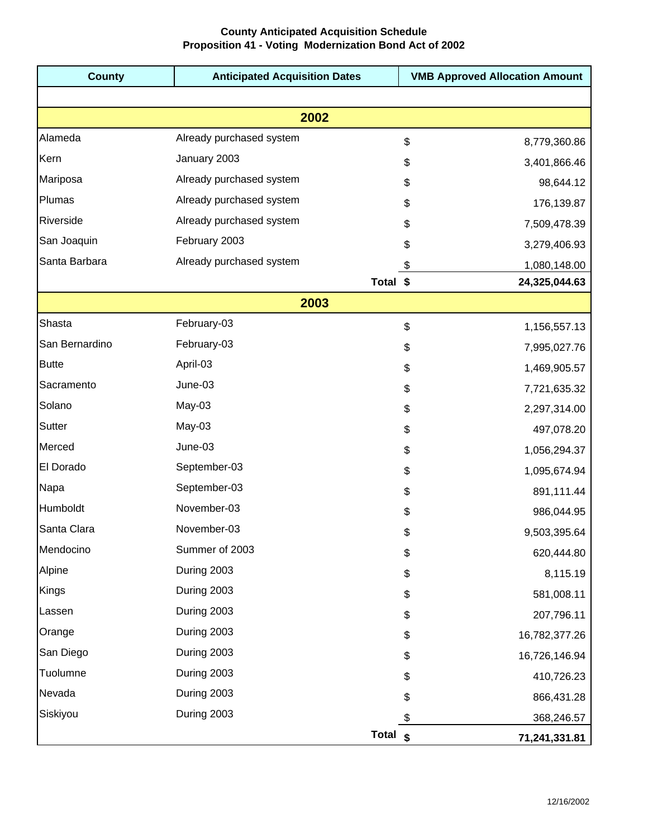## **County Anticipated Acquisition Schedule Proposition 41 - Voting Modernization Bond Act of 2002**

| <b>County</b>  | <b>Anticipated Acquisition Dates</b> | <b>VMB Approved Allocation Amount</b> |  |  |
|----------------|--------------------------------------|---------------------------------------|--|--|
|                |                                      |                                       |  |  |
| 2002           |                                      |                                       |  |  |
| Alameda        | Already purchased system             | \$<br>8,779,360.86                    |  |  |
| Kern           | January 2003                         | \$<br>3,401,866.46                    |  |  |
| Mariposa       | Already purchased system             | \$<br>98,644.12                       |  |  |
| Plumas         | Already purchased system             | 176,139.87<br>\$                      |  |  |
| Riverside      | Already purchased system             | 7,509,478.39<br>\$                    |  |  |
| San Joaquin    | February 2003                        | \$<br>3,279,406.93                    |  |  |
| Santa Barbara  | Already purchased system             | \$<br>1,080,148.00                    |  |  |
|                | Total \$                             | 24,325,044.63                         |  |  |
| 2003           |                                      |                                       |  |  |
| Shasta         | February-03                          | \$<br>1,156,557.13                    |  |  |
| San Bernardino | February-03                          | \$<br>7,995,027.76                    |  |  |
| <b>Butte</b>   | April-03                             | \$<br>1,469,905.57                    |  |  |
| Sacramento     | June-03                              | \$<br>7,721,635.32                    |  |  |
| Solano         | May-03                               | \$<br>2,297,314.00                    |  |  |
| Sutter         | May-03                               | \$<br>497,078.20                      |  |  |
| Merced         | June-03                              | \$<br>1,056,294.37                    |  |  |
| El Dorado      | September-03                         | \$<br>1,095,674.94                    |  |  |
| Napa           | September-03                         | \$<br>891,111.44                      |  |  |
| Humboldt       | November-03                          | \$<br>986,044.95                      |  |  |
| Santa Clara    | November-03                          | \$<br>9,503,395.64                    |  |  |
| Mendocino      | Summer of 2003                       | \$<br>620,444.80                      |  |  |
| Alpine         | During 2003                          | \$<br>8,115.19                        |  |  |
| Kings          | During 2003                          | \$<br>581,008.11                      |  |  |
| Lassen         | During 2003                          | \$<br>207,796.11                      |  |  |
| Orange         | During 2003                          | \$<br>16,782,377.26                   |  |  |
| San Diego      | During 2003                          | \$<br>16,726,146.94                   |  |  |
| Tuolumne       | During 2003                          | \$<br>410,726.23                      |  |  |
| Nevada         | During 2003                          | \$<br>866,431.28                      |  |  |
| Siskiyou       | During 2003                          | \$<br>368,246.57                      |  |  |
|                | Total $\int$                         | 71,241,331.81                         |  |  |